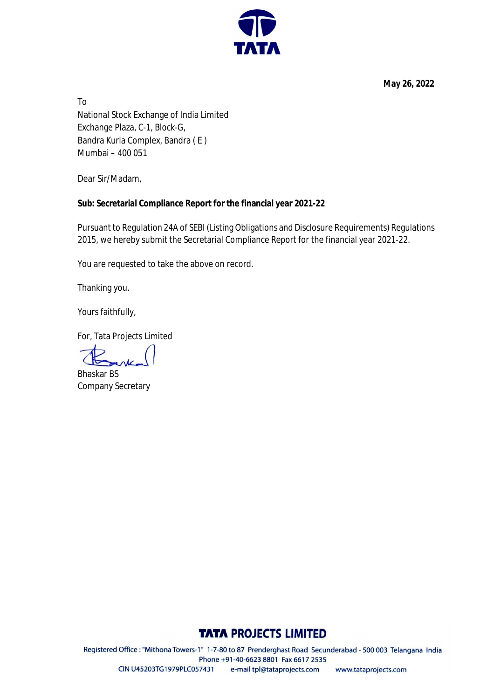**May 26, 2022**

To National Stock Exchange of India Limited Exchange Plaza, C-1, Block-G, Bandra Kurla Complex, Bandra ( E ) Mumbai – 400 051

Dear Sir/Madam,

## **Sub: Secretarial Compliance Report for the financial year 2021-22**

Pursuant to Regulation 24A of SEBI (Listing Obligations and Disclosure Requirements) Regulations 2015, we hereby submit the Secretarial Compliance Report for the financial year 2021-22.

You are requested to take the above on record.

Thanking you.

Yours faithfully,

For, Tata Projects Limited

Bhaskar BS Company Secretary

## **TATA PROJECTS LIMITED**

Registered Office: "Mithona Towers-1" 1-7-80 to 87 Prenderghast Road Secunderabad - 500 003 Telangana India Phone +91-40-6623 8801 Fax 6617 2535 CIN U45203TG1979PLC057431 e-mail tpl@tataprojects.com www.tataprojects.com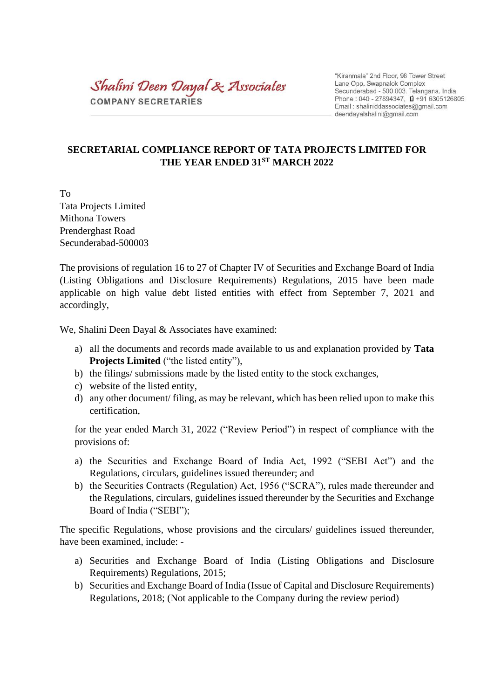Shalini Deen Dayal & Associates COMPANY SECRETARIES

"Kiranmala" 2nd Floor, 98 Tower Street Lane Opp. Swapnalok Complex Secunderabad - 500 003. Telangana. India Phone: 040 - 27894347,  $\overrightarrow{u}$  +91 6305126805 Email: shaliniddassociates@gmail.com deendayalshalini@gmail.com

## **SECRETARIAL COMPLIANCE REPORT OF TATA PROJECTS LIMITED FOR THE YEAR ENDED 31ST MARCH 2022**

To Tata Projects Limited Mithona Towers Prenderghast Road Secunderabad-500003

The provisions of regulation 16 to 27 of Chapter IV of Securities and Exchange Board of India (Listing Obligations and Disclosure Requirements) Regulations, 2015 have been made applicable on high value debt listed entities with effect from September 7, 2021 and accordingly,

We, Shalini Deen Dayal & Associates have examined:

- a) all the documents and records made available to us and explanation provided by **Tata Projects Limited** ("the listed entity"),
- b) the filings/ submissions made by the listed entity to the stock exchanges,
- c) website of the listed entity,
- d) any other document/ filing, as may be relevant, which has been relied upon to make this certification,

for the year ended March 31, 2022 ("Review Period") in respect of compliance with the provisions of:

- a) the Securities and Exchange Board of India Act, 1992 ("SEBI Act") and the Regulations, circulars, guidelines issued thereunder; and
- b) the Securities Contracts (Regulation) Act, 1956 ("SCRA"), rules made thereunder and the Regulations, circulars, guidelines issued thereunder by the Securities and Exchange Board of India ("SEBI");

The specific Regulations, whose provisions and the circulars/ guidelines issued thereunder, have been examined, include: -

- a) Securities and Exchange Board of India (Listing Obligations and Disclosure Requirements) Regulations, 2015;
- b) Securities and Exchange Board of India (Issue of Capital and Disclosure Requirements) Regulations, 2018; (Not applicable to the Company during the review period)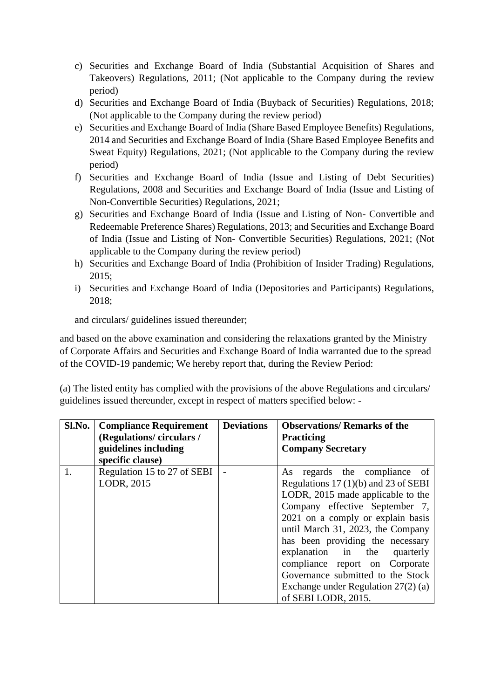- c) Securities and Exchange Board of India (Substantial Acquisition of Shares and Takeovers) Regulations, 2011; (Not applicable to the Company during the review period)
- d) Securities and Exchange Board of India (Buyback of Securities) Regulations, 2018; (Not applicable to the Company during the review period)
- e) Securities and Exchange Board of India (Share Based Employee Benefits) Regulations, 2014 and Securities and Exchange Board of India (Share Based Employee Benefits and Sweat Equity) Regulations, 2021; (Not applicable to the Company during the review period)
- f) Securities and Exchange Board of India (Issue and Listing of Debt Securities) Regulations, 2008 and Securities and Exchange Board of India (Issue and Listing of Non-Convertible Securities) Regulations, 2021;
- g) Securities and Exchange Board of India (Issue and Listing of Non- Convertible and Redeemable Preference Shares) Regulations, 2013; and Securities and Exchange Board of India (Issue and Listing of Non- Convertible Securities) Regulations, 2021; (Not applicable to the Company during the review period)
- h) Securities and Exchange Board of India (Prohibition of Insider Trading) Regulations, 2015;
- i) Securities and Exchange Board of India (Depositories and Participants) Regulations, 2018;

and circulars/ guidelines issued thereunder;

and based on the above examination and considering the relaxations granted by the Ministry of Corporate Affairs and Securities and Exchange Board of India warranted due to the spread of the COVID-19 pandemic; We hereby report that, during the Review Period:

(a) The listed entity has complied with the provisions of the above Regulations and circulars/ guidelines issued thereunder, except in respect of matters specified below: -

| Sl.No. | <b>Compliance Requirement</b><br>(Regulations/circulars/<br>guidelines including<br>specific clause) | <b>Deviations</b> | <b>Observations/ Remarks of the</b><br><b>Practicing</b><br><b>Company Secretary</b>                                                                                                                                                                                                                                                                                                                                                   |
|--------|------------------------------------------------------------------------------------------------------|-------------------|----------------------------------------------------------------------------------------------------------------------------------------------------------------------------------------------------------------------------------------------------------------------------------------------------------------------------------------------------------------------------------------------------------------------------------------|
| 1.     | Regulation 15 to 27 of SEBI<br>LODR, 2015                                                            |                   | As regards the compliance of<br>Regulations $17(1)(b)$ and $23$ of SEBI<br>LODR, 2015 made applicable to the<br>Company effective September 7,<br>2021 on a comply or explain basis<br>until March 31, 2023, the Company<br>has been providing the necessary<br>explanation in the<br>quarterly<br>compliance report on Corporate<br>Governance submitted to the Stock<br>Exchange under Regulation $27(2)$ (a)<br>of SEBI LODR, 2015. |